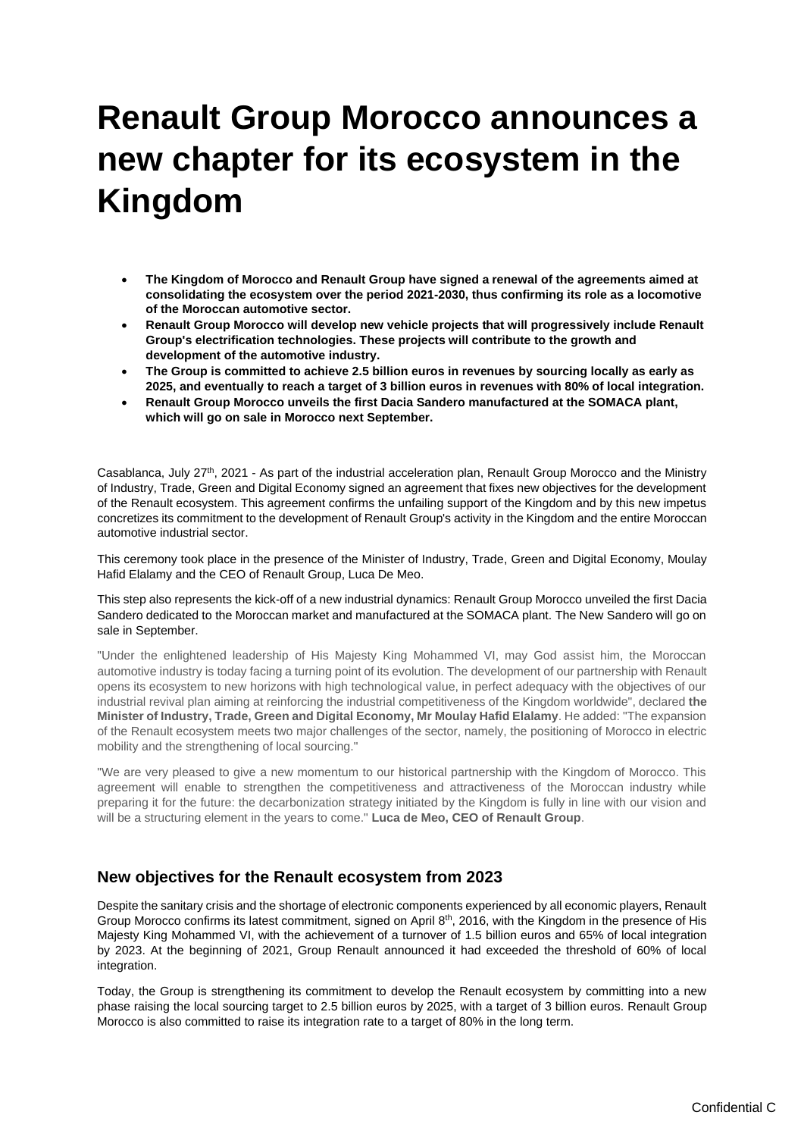## **Renault Group Morocco announces a new chapter for its ecosystem in the Kingdom**

- **The Kingdom of Morocco and Renault Group have signed a renewal of the agreements aimed at consolidating the ecosystem over the period 2021-2030, thus confirming its role as a locomotive of the Moroccan automotive sector.**
- **Renault Group Morocco will develop new vehicle projects that will progressively include Renault Group's electrification technologies. These projects will contribute to the growth and development of the automotive industry.**
- **The Group is committed to achieve 2.5 billion euros in revenues by sourcing locally as early as 2025, and eventually to reach a target of 3 billion euros in revenues with 80% of local integration.**
- **Renault Group Morocco unveils the first Dacia Sandero manufactured at the SOMACA plant, which will go on sale in Morocco next September.**

Casablanca, July 27th, 2021 - As part of the industrial acceleration plan, Renault Group Morocco and the Ministry of Industry, Trade, Green and Digital Economy signed an agreement that fixes new objectives for the development of the Renault ecosystem. This agreement confirms the unfailing support of the Kingdom and by this new impetus concretizes its commitment to the development of Renault Group's activity in the Kingdom and the entire Moroccan automotive industrial sector.

This ceremony took place in the presence of the Minister of Industry, Trade, Green and Digital Economy, Moulay Hafid Elalamy and the CEO of Renault Group, Luca De Meo.

This step also represents the kick-off of a new industrial dynamics: Renault Group Morocco unveiled the first Dacia Sandero dedicated to the Moroccan market and manufactured at the SOMACA plant. The New Sandero will go on sale in September.

"Under the enlightened leadership of His Majesty King Mohammed VI, may God assist him, the Moroccan automotive industry is today facing a turning point of its evolution. The development of our partnership with Renault opens its ecosystem to new horizons with high technological value, in perfect adequacy with the objectives of our industrial revival plan aiming at reinforcing the industrial competitiveness of the Kingdom worldwide", declared **the Minister of Industry, Trade, Green and Digital Economy, Mr Moulay Hafid Elalamy**. He added: "The expansion of the Renault ecosystem meets two major challenges of the sector, namely, the positioning of Morocco in electric mobility and the strengthening of local sourcing."

"We are very pleased to give a new momentum to our historical partnership with the Kingdom of Morocco. This agreement will enable to strengthen the competitiveness and attractiveness of the Moroccan industry while preparing it for the future: the decarbonization strategy initiated by the Kingdom is fully in line with our vision and will be a structuring element in the years to come." **Luca de Meo, CEO of Renault Group**.

## **New objectives for the Renault ecosystem from 2023**

Despite the sanitary crisis and the shortage of electronic components experienced by all economic players, Renault Group Morocco confirms its latest commitment, signed on April 8th, 2016, with the Kingdom in the presence of His Majesty King Mohammed VI, with the achievement of a turnover of 1.5 billion euros and 65% of local integration by 2023. At the beginning of 2021, Group Renault announced it had exceeded the threshold of 60% of local integration.

Today, the Group is strengthening its commitment to develop the Renault ecosystem by committing into a new phase raising the local sourcing target to 2.5 billion euros by 2025, with a target of 3 billion euros. Renault Group Morocco is also committed to raise its integration rate to a target of 80% in the long term.